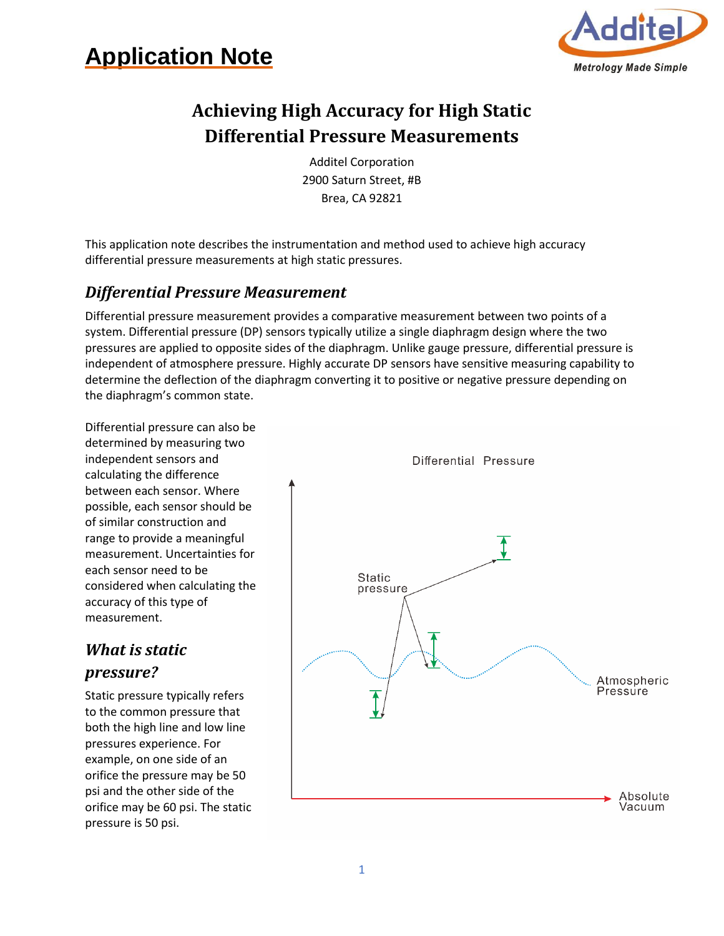



# **Achieving High Accuracy for High Static Differential Pressure Measurements**

Additel Corporation 2900 Saturn Street, #B Brea, CA 92821

This application note describes the instrumentation and method used to achieve high accuracy differential pressure measurements at high static pressures.

#### *Differential Pressure Measurement*

Differential pressure measurement provides a comparative measurement between two points of a system. Differential pressure (DP) sensors typically utilize a single diaphragm design where the two pressures are applied to opposite sides of the diaphragm. Unlike gauge pressure, differential pressure is independent of atmosphere pressure. Highly accurate DP sensors have sensitive measuring capability to determine the deflection of the diaphragm converting it to positive or negative pressure depending on the diaphragm's common state.

Differential pressure can also be determined by measuring two independent sensors and calculating the difference between each sensor. Where possible, each sensor should be of similar construction and range to provide a meaningful measurement. Uncertainties for each sensor need to be considered when calculating the accuracy of this type of measurement.

### *What is static pressure?*

Static pressure typically refers to the common pressure that both the high line and low line pressures experience. For example, on one side of an orifice the pressure may be 50 psi and the other side of the orifice may be 60 psi. The static pressure is 50 psi.

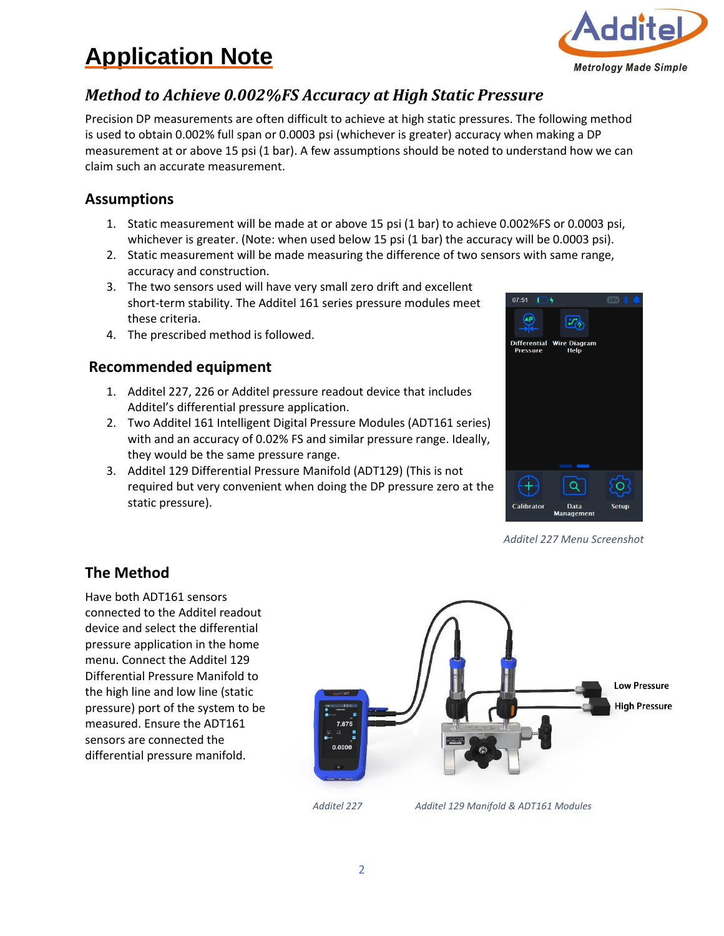# **Application Note**



## *Method to Achieve 0.002%FS Accuracy at High Static Pressure*

Precision DP measurements are often difficult to achieve at high static pressures. The following method is used to obtain 0.002% full span or 0.0003 psi (whichever is greater) accuracy when making a DP measurement at or above 15 psi (1 bar). A few assumptions should be noted to understand how we can claim such an accurate measurement.

### **Assumptions**

- 1. Static measurement will be made at or above 15 psi (1 bar) to achieve 0.002%FS or 0.0003 psi, whichever is greater. (Note: when used below 15 psi (1 bar) the accuracy will be 0.0003 psi).
- 2. Static measurement will be made measuring the difference of two sensors with same range, accuracy and construction.
- 3. The two sensors used will have very small zero drift and excellent short-term stability. The Additel 161 series pressure modules meet these criteria.
- 4. The prescribed method is followed.

#### **Recommended equipment**

- 1. Additel 227, 226 or Additel pressure readout device that includes Additel's differential pressure application.
- 2. Two Additel 161 Intelligent Digital Pressure Modules (ADT161 series) with and an accuracy of 0.02% FS and similar pressure range. Ideally, they would be the same pressure range.
- 3. Additel 129 Differential Pressure Manifold (ADT129) (This is not required but very convenient when doing the DP pressure zero at the static pressure).



*Additel 227 Menu Screenshot*

### **The Method**

Have both ADT161 sensors connected to the Additel readout device and select the differential pressure application in the home menu. Connect the Additel 129 Differential Pressure Manifold to the high line and low line (static pressure) port of the system to be measured. Ensure the ADT161 sensors are connected the differential pressure manifold.



*Additel 227 Additel 129 Manifold & ADT161 Modules*